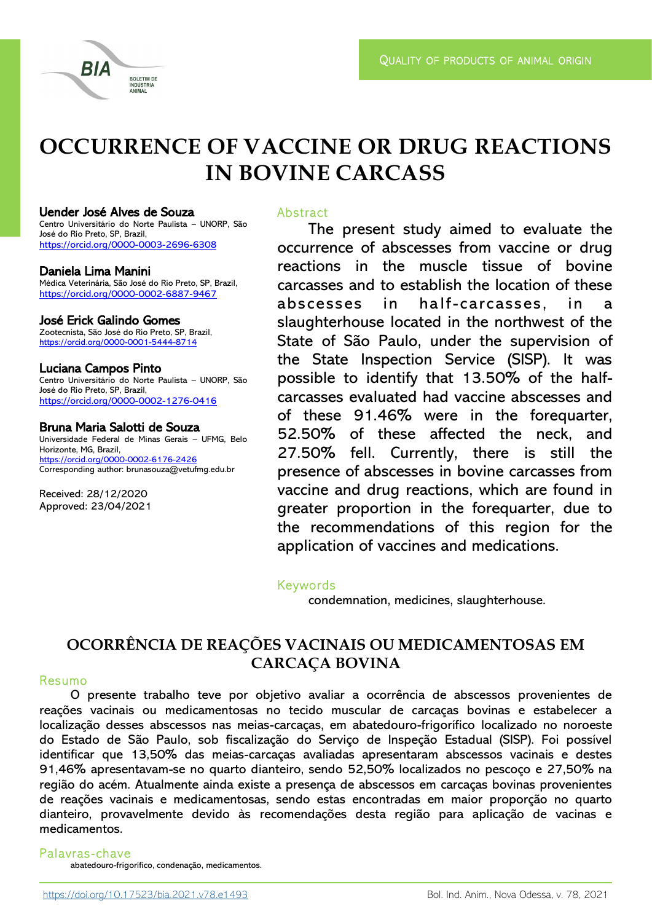# **OCCURRENCE OF VACCINE OR DRUG REACTIONS IN BOVINE CARCASS**

#### Uender José Alves de Souza

Centro Universitário do Norte Paulista – UNORP, São José do Rio Preto, SP, Brazil, <https://orcid.org/0000-0003-2696-6308>

**BOLETIM DE** NDÚSTRIA ANIMAL

#### Daniela Lima Manini

RIA

Médica Veterinária, São José do Rio Preto, SP, Brazil, <https://orcid.org/0000-0002-6887-9467>

# José Erick Galindo Gomes

Zootecnista, São José do Rio Preto, SP, Brazil, <https://orcid.org/0000-0001-5444-8714>

#### Luciana Campos Pinto

Centro Universitário do Norte Paulista – UNORP, São José do Rio Preto, SP, Brazil, <https://orcid.org/0000-0002-1276-0416>

#### Bruna Maria Salotti de Souza

Universidade Federal de Minas Gerais – UFMG, Belo Horizonte, MG, Brazil, [https://orcid.org/0000-0002-6176-2426](https://orcid.org/0000-0002-6176-2426%20) Corresponding author: brunasouza@vetufmg.edu.br

Received: 28/12/2020 Approved: 23/04/2021

# **Abstract**

The present study aimed to evaluate the occurrence of abscesses from vaccine or drug reactions in the muscle tissue of bovine carcasses and to establish the location of these abscesses in half-carcasses, in a slaughterhouse located in the northwest of the State of São Paulo, under the supervision of the State Inspection Service (SISP). It was possible to identify that 13.50% of the halfcarcasses evaluated had vaccine abscesses and of these 91.46% were in the forequarter, 52.50% of these affected the neck, and 27.50% fell. Currently, there is still the presence of abscesses in bovine carcasses from vaccine and drug reactions, which are found in greater proportion in the forequarter, due to the recommendations of this region for the application of vaccines and medications.

# Keywords

condemnation, medicines, slaughterhouse.

# **OCORRÊNCIA DE REAÇÕES VACINAIS OU MEDICAMENTOSAS EM CARCAÇA BOVINA**

# Resumo

O presente trabalho teve por objetivo avaliar a ocorrência de abscessos provenientes de reações vacinais ou medicamentosas no tecido muscular de carcaças bovinas e estabelecer a localização desses abscessos nas meias-carcaças, em abatedouro-frigorífico localizado no noroeste do Estado de São Paulo, sob fiscalização do Serviço de Inspeção Estadual (SISP). Foi possível identificar que 13,50% das meias-carcaças avaliadas apresentaram abscessos vacinais e destes 91,46% apresentavam-se no quarto dianteiro, sendo 52,50% localizados no pescoço e 27,50% na região do acém. Atualmente ainda existe a presença de abscessos em carcaças bovinas provenientes de reações vacinais e medicamentosas, sendo estas encontradas em maior proporção no quarto dianteiro, provavelmente devido às recomendações desta região para aplicação de vacinas e medicamentos.

# Palavras -chave

abatedouro-frigorífico, condenação, medicamentos.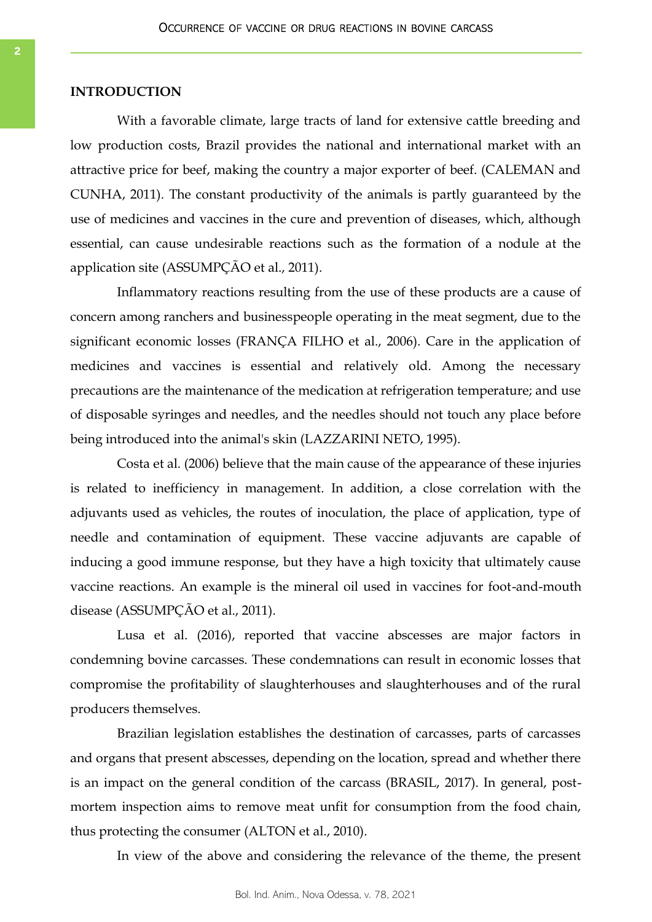# **INTRODUCTION**

With a favorable climate, large tracts of land for extensive cattle breeding and low production costs, Brazil provides the national and international market with an attractive price for beef, making the country a major exporter of beef. (CALEMAN and CUNHA, 2011). The constant productivity of the animals is partly guaranteed by the use of medicines and vaccines in the cure and prevention of diseases, which, although essential, can cause undesirable reactions such as the formation of a nodule at the application site (ASSUMPÇÃO et al., 2011).

Inflammatory reactions resulting from the use of these products are a cause of concern among ranchers and businesspeople operating in the meat segment, due to the significant economic losses (FRANÇA FILHO et al., 2006). Care in the application of medicines and vaccines is essential and relatively old. Among the necessary precautions are the maintenance of the medication at refrigeration temperature; and use of disposable syringes and needles, and the needles should not touch any place before being introduced into the animal's skin (LAZZARINI NETO, 1995).

Costa et al. (2006) believe that the main cause of the appearance of these injuries is related to inefficiency in management. In addition, a close correlation with the adjuvants used as vehicles, the routes of inoculation, the place of application, type of needle and contamination of equipment. These vaccine adjuvants are capable of inducing a good immune response, but they have a high toxicity that ultimately cause vaccine reactions. An example is the mineral oil used in vaccines for foot-and-mouth disease (ASSUMPÇÃO et al., 2011).

Lusa et al. (2016), reported that vaccine abscesses are major factors in condemning bovine carcasses. These condemnations can result in economic losses that compromise the profitability of slaughterhouses and slaughterhouses and of the rural producers themselves.

Brazilian legislation establishes the destination of carcasses, parts of carcasses and organs that present abscesses, depending on the location, spread and whether there is an impact on the general condition of the carcass (BRASIL, 2017). In general, postmortem inspection aims to remove meat unfit for consumption from the food chain, thus protecting the consumer (ALTON et al., 2010).

In view of the above and considering the relevance of the theme, the present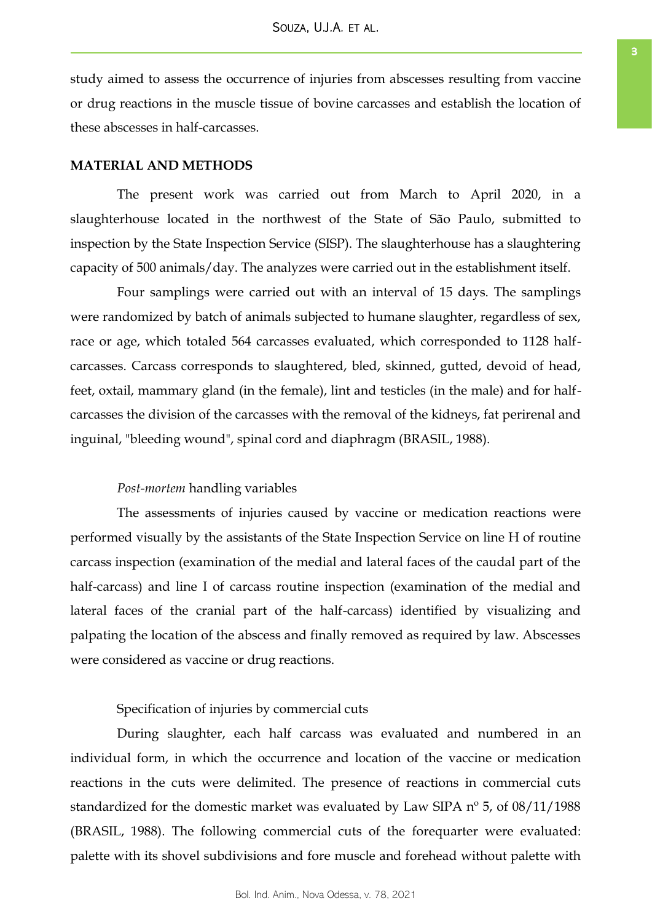study aimed to assess the occurrence of injuries from abscesses resulting from vaccine or drug reactions in the muscle tissue of bovine carcasses and establish the location of these abscesses in half-carcasses.

# **MATERIAL AND METHODS**

The present work was carried out from March to April 2020, in a slaughterhouse located in the northwest of the State of São Paulo, submitted to inspection by the State Inspection Service (SISP). The slaughterhouse has a slaughtering capacity of 500 animals/day. The analyzes were carried out in the establishment itself.

Four samplings were carried out with an interval of 15 days. The samplings were randomized by batch of animals subjected to humane slaughter, regardless of sex, race or age, which totaled 564 carcasses evaluated, which corresponded to 1128 halfcarcasses. Carcass corresponds to slaughtered, bled, skinned, gutted, devoid of head, feet, oxtail, mammary gland (in the female), lint and testicles (in the male) and for halfcarcasses the division of the carcasses with the removal of the kidneys, fat perirenal and inguinal, "bleeding wound", spinal cord and diaphragm (BRASIL, 1988).

#### *Post-mortem* handling variables

The assessments of injuries caused by vaccine or medication reactions were performed visually by the assistants of the State Inspection Service on line H of routine carcass inspection (examination of the medial and lateral faces of the caudal part of the half-carcass) and line I of carcass routine inspection (examination of the medial and lateral faces of the cranial part of the half-carcass) identified by visualizing and palpating the location of the abscess and finally removed as required by law. Abscesses were considered as vaccine or drug reactions.

# Specification of injuries by commercial cuts

During slaughter, each half carcass was evaluated and numbered in an individual form, in which the occurrence and location of the vaccine or medication reactions in the cuts were delimited. The presence of reactions in commercial cuts standardized for the domestic market was evaluated by Law SIPA nº 5, of 08/11/1988 (BRASIL, 1988). The following commercial cuts of the forequarter were evaluated: palette with its shovel subdivisions and fore muscle and forehead without palette with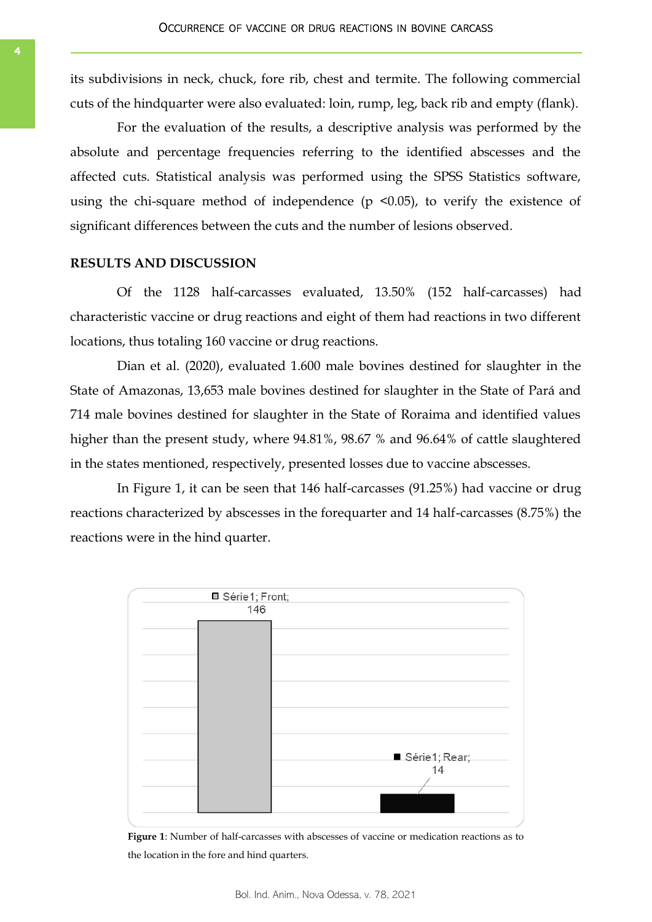its subdivisions in neck, chuck, fore rib, chest and termite. The following commercial cuts of the hindquarter were also evaluated: loin, rump, leg, back rib and empty (flank).

For the evaluation of the results, a descriptive analysis was performed by the absolute and percentage frequencies referring to the identified abscesses and the affected cuts. Statistical analysis was performed using the SPSS Statistics software, using the chi-square method of independence  $(p \le 0.05)$ , to verify the existence of significant differences between the cuts and the number of lesions observed.

# **RESULTS AND DISCUSSION**

Of the 1128 half-carcasses evaluated, 13.50% (152 half-carcasses) had characteristic vaccine or drug reactions and eight of them had reactions in two different locations, thus totaling 160 vaccine or drug reactions.

Dian et al. (2020), evaluated 1.600 male bovines destined for slaughter in the State of Amazonas, 13,653 male bovines destined for slaughter in the State of Pará and 714 male bovines destined for slaughter in the State of Roraima and identified values higher than the present study, where 94.81%, 98.67 % and 96.64% of cattle slaughtered in the states mentioned, respectively, presented losses due to vaccine abscesses.

In Figure 1, it can be seen that 146 half-carcasses (91.25%) had vaccine or drug reactions characterized by abscesses in the forequarter and 14 half-carcasses (8.75%) the reactions were in the hind quarter.



**Figure 1**: Number of half-carcasses with abscesses of vaccine or medication reactions as to the location in the fore and hind quarters.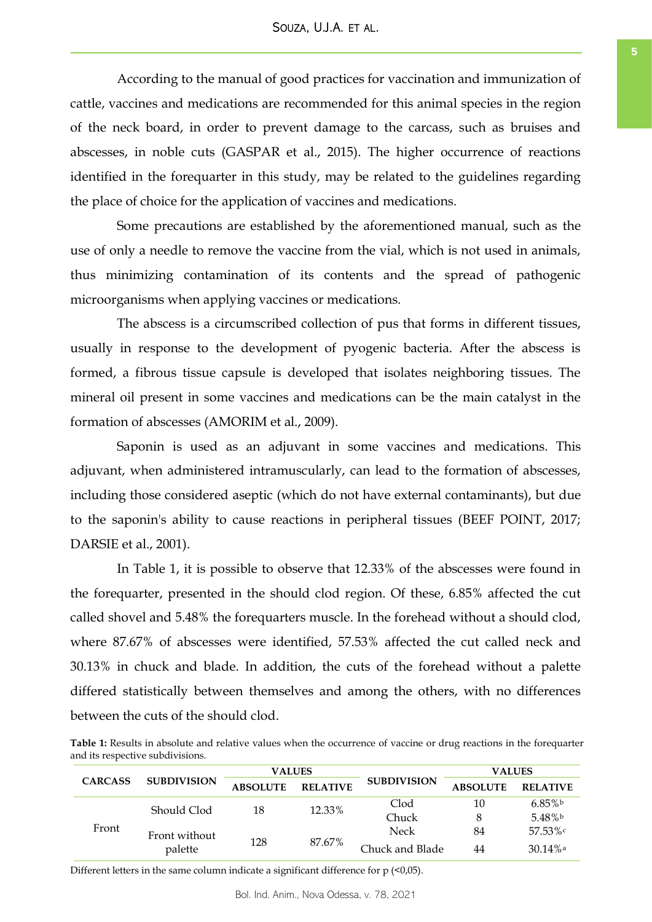According to the manual of good practices for vaccination and immunization of cattle, vaccines and medications are recommended for this animal species in the region of the neck board, in order to prevent damage to the carcass, such as bruises and abscesses, in noble cuts (GASPAR et al., 2015). The higher occurrence of reactions identified in the forequarter in this study, may be related to the guidelines regarding the place of choice for the application of vaccines and medications.

Some precautions are established by the aforementioned manual, such as the use of only a needle to remove the vaccine from the vial, which is not used in animals, thus minimizing contamination of its contents and the spread of pathogenic microorganisms when applying vaccines or medications.

The abscess is a circumscribed collection of pus that forms in different tissues, usually in response to the development of pyogenic bacteria. After the abscess is formed, a fibrous tissue capsule is developed that isolates neighboring tissues. The mineral oil present in some vaccines and medications can be the main catalyst in the formation of abscesses (AMORIM et al., 2009).

Saponin is used as an adjuvant in some vaccines and medications. This adjuvant, when administered intramuscularly, can lead to the formation of abscesses, including those considered aseptic (which do not have external contaminants), but due to the saponin's ability to cause reactions in peripheral tissues (BEEF POINT, 2017; DARSIE et al., 2001).

In Table 1, it is possible to observe that 12.33% of the abscesses were found in the forequarter, presented in the should clod region. Of these, 6.85% affected the cut called shovel and 5.48% the forequarters muscle. In the forehead without a should clod, where 87.67% of abscesses were identified, 57.53% affected the cut called neck and 30.13% in chuck and blade. In addition, the cuts of the forehead without a palette differed statistically between themselves and among the others, with no differences between the cuts of the should clod.

**Table 1:** Results in absolute and relative values when the occurrence of vaccine or drug reactions in the forequarter and its respective subdivisions.

| <b>CARCASS</b> | <b>SUBDIVISION</b>       | <b>VALUES</b>   |                 |                    | <b>VALUES</b>   |                 |
|----------------|--------------------------|-----------------|-----------------|--------------------|-----------------|-----------------|
|                |                          | <b>ABSOLUTE</b> | <b>RELATIVE</b> | <b>SUBDIVISION</b> | <b>ABSOLUTE</b> | <b>RELATIVE</b> |
| Front          | Should Clod              | 18              | 12.33%          | Clod               | 10              | $6.85\%$        |
|                |                          |                 |                 | Chuck              | 8               | 5.48%b          |
|                | Front without<br>palette | 128             | 87.67%          | Neck               | 84              | $57.53\%$       |
|                |                          |                 |                 | Chuck and Blade    | 44              | $30.14\%$ a     |

Different letters in the same column indicate a significant difference for  $p$  (<0,05).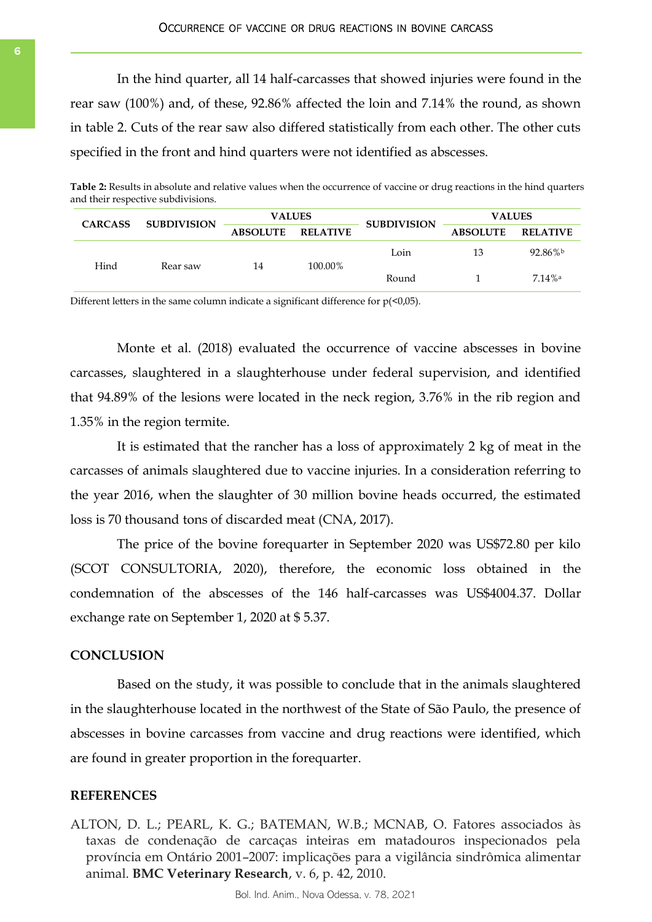In the hind quarter, all 14 half-carcasses that showed injuries were found in the rear saw (100%) and, of these, 92.86% affected the loin and 7.14% the round, as shown in table 2. Cuts of the rear saw also differed statistically from each other. The other cuts specified in the front and hind quarters were not identified as abscesses.

**Table 2:** Results in absolute and relative values when the occurrence of vaccine or drug reactions in the hind quarters and their respective subdivisions.

| <b>CARCASS</b> | <b>SUBDIVISION</b> | <b>VALUES</b>   |                 |                    | <b>VALUES</b>   |                       |
|----------------|--------------------|-----------------|-----------------|--------------------|-----------------|-----------------------|
|                |                    | <b>ABSOLUTE</b> | <b>RELATIVE</b> | <b>SUBDIVISION</b> | <b>ABSOLUTE</b> | <b>RELATIVE</b>       |
| Hind           | Rear saw           | 14              | 100.00%         | Loin               | 13              | 92.86%b               |
|                |                    |                 |                 | Round              |                 | $7.14\%$ <sup>a</sup> |

Different letters in the same column indicate a significant difference for  $p(\leq 0.05)$ .

Monte et al. (2018) evaluated the occurrence of vaccine abscesses in bovine carcasses, slaughtered in a slaughterhouse under federal supervision, and identified that 94.89% of the lesions were located in the neck region, 3.76% in the rib region and 1.35% in the region termite.

It is estimated that the rancher has a loss of approximately 2 kg of meat in the carcasses of animals slaughtered due to vaccine injuries. In a consideration referring to the year 2016, when the slaughter of 30 million bovine heads occurred, the estimated loss is 70 thousand tons of discarded meat (CNA, 2017).

The price of the bovine forequarter in September 2020 was US\$72.80 per kilo (SCOT CONSULTORIA, 2020), therefore, the economic loss obtained in the condemnation of the abscesses of the 146 half-carcasses was US\$4004.37. Dollar exchange rate on September 1, 2020 at \$ 5.37.

# **CONCLUSION**

Based on the study, it was possible to conclude that in the animals slaughtered in the slaughterhouse located in the northwest of the State of São Paulo, the presence of abscesses in bovine carcasses from vaccine and drug reactions were identified, which are found in greater proportion in the forequarter.

# **REFERENCES**

ALTON, D. L.; PEARL, K. G.; BATEMAN, W.B.; MCNAB, O. Fatores associados às taxas de condenação de carcaças inteiras em matadouros inspecionados pela província em Ontário 2001–2007: implicações para a vigilância sindrômica alimentar animal. **BMC Veterinary Research**, v. 6, p. 42, 2010.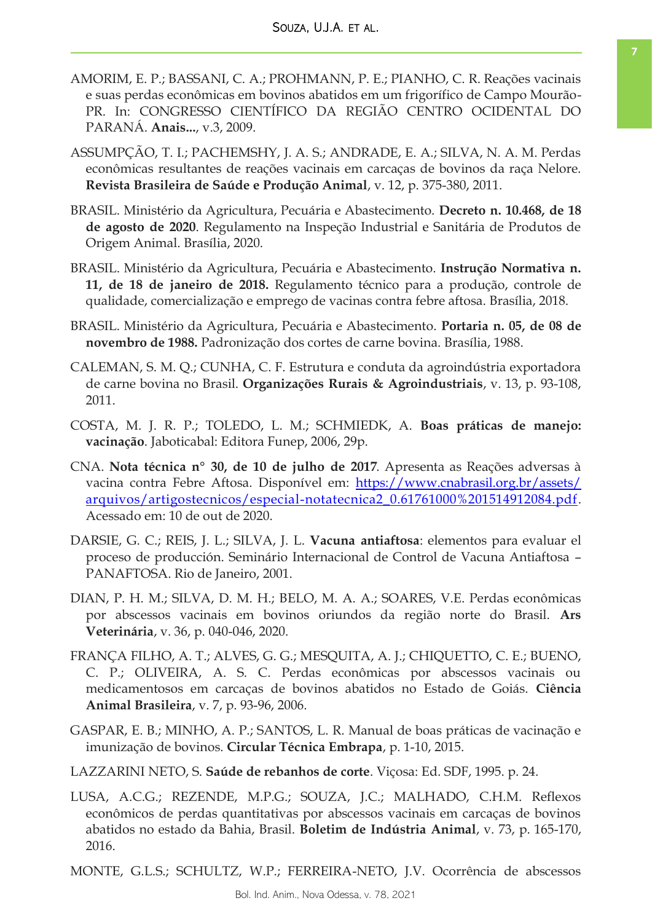- AMORIM, E. P.; BASSANI, C. A.; PROHMANN, P. E.; PIANHO, C. R. Reações vacinais e suas perdas econômicas em bovinos abatidos em um frigorífico de Campo Mourão-PR. In: CONGRESSO CIENTÍFICO DA REGIÃO CENTRO OCIDENTAL DO PARANÁ. **Anais...**, v.3, 2009.
- ASSUMPÇÃO, T. I.; PACHEMSHY, J. A. S.; ANDRADE, E. A.; SILVA, N. A. M. Perdas econômicas resultantes de reações vacinais em carcaças de bovinos da raça Nelore. **Revista Brasileira de Saúde e Produção Animal**, v. 12, p. 375-380, 2011.
- BRASIL. Ministério da Agricultura, Pecuária e Abastecimento. **Decreto n. 10.468, de 18 de agosto de 2020**. Regulamento na Inspeção Industrial e Sanitária de Produtos de Origem Animal. Brasília, 2020.
- BRASIL. Ministério da Agricultura, Pecuária e Abastecimento. **Instrução Normativa n. 11, de 18 de janeiro de 2018.** Regulamento técnico para a produção, controle de qualidade, comercialização e emprego de vacinas contra febre aftosa. Brasília, 2018.
- BRASIL. Ministério da Agricultura, Pecuária e Abastecimento. **Portaria n. 05, de 08 de novembro de 1988.** Padronização dos cortes de carne bovina. Brasília, 1988.
- CALEMAN, S. M. Q.; CUNHA, C. F. Estrutura e conduta da agroindústria exportadora de carne bovina no Brasil. **Organizações Rurais & Agroindustriais**, v. 13, p. 93-108, 2011.
- COSTA, M. J. R. P.; TOLEDO, L. M.; SCHMIEDK, A. **Boas práticas de manejo: vacinação**. Jaboticabal: Editora Funep, 2006, 29p.
- CNA. **Nota técnica n° 30, de 10 de julho de 2017**. Apresenta as Reações adversas à vacina contra Febre Aftosa. Disponível em: [https://www.cnabrasil.org.br/assets/](https://www.cnabrasil.org.br/assets/arquivos/artigostecnicos/especial-notatecnica2_0.61761000%201514912084.pdf) [arquivos/artigostecnicos/especial-notatecnica2\\_0.61761000%201514912084.pdf.](https://www.cnabrasil.org.br/assets/arquivos/artigostecnicos/especial-notatecnica2_0.61761000%201514912084.pdf) Acessado em: 10 de out de 2020.
- DARSIE, G. C.; REIS, J. L.; SILVA, J. L. **Vacuna antiaftosa**: elementos para evaluar el proceso de producción. Seminário Internacional de Control de Vacuna Antiaftosa – PANAFTOSA. Rio de Janeiro, 2001.
- DIAN, P. H. M.; SILVA, D. M. H.; BELO, M. A. A.; SOARES, V.E. Perdas econômicas por abscessos vacinais em bovinos oriundos da região norte do Brasil. **Ars Veterinária**, v. 36, p. 040-046, 2020.
- FRANÇA FILHO, A. T.; ALVES, G. G.; MESQUITA, A. J.; CHIQUETTO, C. E.; BUENO, C. P.; OLIVEIRA, A. S. C. Perdas econômicas por abscessos vacinais ou medicamentosos em carcaças de bovinos abatidos no Estado de Goiás. **Ciência Animal Brasileira**, v. 7, p. 93-96, 2006.
- GASPAR, E. B.; MINHO, A. P.; SANTOS, L. R. Manual de boas práticas de vacinação e imunização de bovinos. **Circular Técnica Embrapa**, p. 1-10, 2015.
- LAZZARINI NETO, S. **Saúde de rebanhos de corte**. Viçosa: Ed. SDF, 1995. p. 24.
- LUSA, A.C.G.; REZENDE, M.P.G.; SOUZA, J.C.; MALHADO, C.H.M. Reflexos econômicos de perdas quantitativas por abscessos vacinais em carcaças de bovinos abatidos no estado da Bahia, Brasil. **Boletim de Indústria Animal**, v. 73, p. 165-170, 2016.

MONTE, G.L.S.; SCHULTZ, W.P.; FERREIRA-NETO, J.V. Ocorrência de abscessos